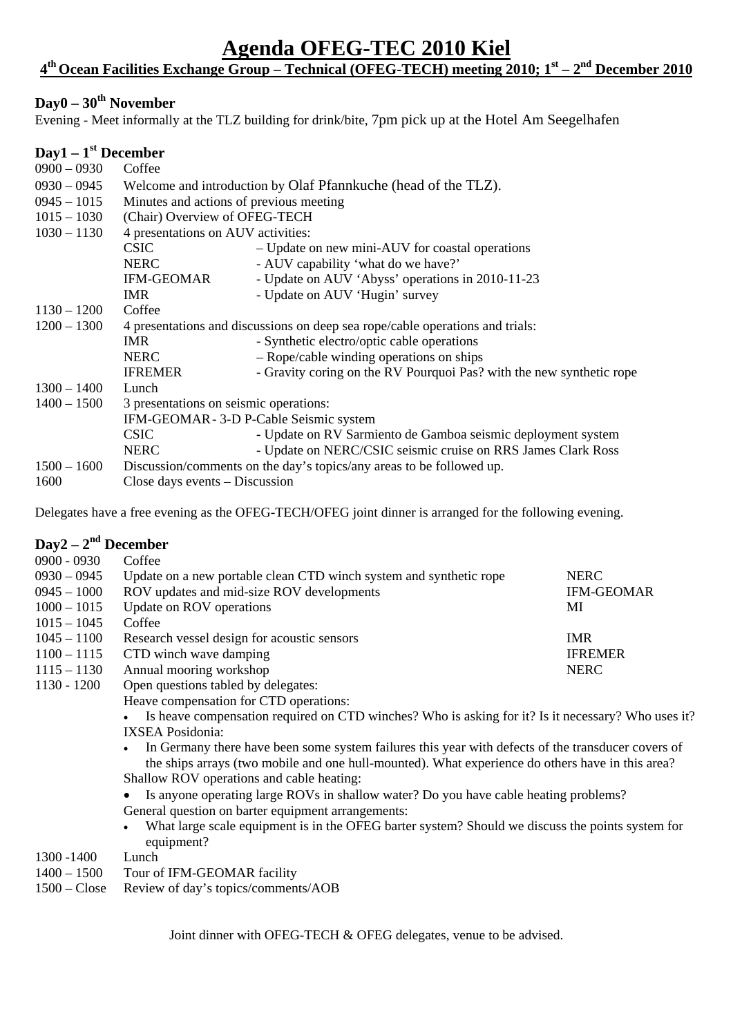## **Agenda OFEG-TEC 2010 Kiel**

#### **4th Ocean Facilities Exchange Group – Technical (OFEG-TECH) meeting 2010; 1st – 2nd December 2010**

#### Day0 – 30<sup>th</sup> November

Evening - Meet informally at the TLZ building for drink/bite, 7pm pick up at the Hotel Am Seegelhafen

# **Day1 – 1st December**

| $0900 - 0930$ | Coffee                                                                        |                                                                      |  |
|---------------|-------------------------------------------------------------------------------|----------------------------------------------------------------------|--|
| $0930 - 0945$ | Welcome and introduction by Olaf Pfannkuche (head of the TLZ).                |                                                                      |  |
| $0945 - 1015$ | Minutes and actions of previous meeting                                       |                                                                      |  |
| $1015 - 1030$ | (Chair) Overview of OFEG-TECH                                                 |                                                                      |  |
| $1030 - 1130$ | 4 presentations on AUV activities:                                            |                                                                      |  |
|               | <b>CSIC</b>                                                                   | - Update on new mini-AUV for coastal operations                      |  |
|               | <b>NERC</b>                                                                   | - AUV capability 'what do we have?'                                  |  |
|               | <b>IFM-GEOMAR</b>                                                             | - Update on AUV 'Abyss' operations in 2010-11-23                     |  |
|               | <b>IMR</b>                                                                    | - Update on AUV 'Hugin' survey                                       |  |
| $1130 - 1200$ | Coffee                                                                        |                                                                      |  |
| $1200 - 1300$ | 4 presentations and discussions on deep sea rope/cable operations and trials: |                                                                      |  |
|               | <b>IMR</b>                                                                    | - Synthetic electro/optic cable operations                           |  |
|               | <b>NERC</b>                                                                   | - Rope/cable winding operations on ships                             |  |
|               | <b>IFREMER</b>                                                                | - Gravity coring on the RV Pourquoi Pas? with the new synthetic rope |  |
| $1300 - 1400$ | Lunch                                                                         |                                                                      |  |
| $1400 - 1500$ | 3 presentations on seismic operations:                                        |                                                                      |  |
|               | IFM-GEOMAR - 3-D P-Cable Seismic system                                       |                                                                      |  |
|               | <b>CSIC</b>                                                                   | - Update on RV Sarmiento de Gamboa seismic deployment system         |  |
|               | <b>NERC</b>                                                                   | - Update on NERC/CSIC seismic cruise on RRS James Clark Ross         |  |
| $1500 - 1600$ | Discussion/comments on the day's topics/any areas to be followed up.          |                                                                      |  |
| 1600          | Close days events – Discussion                                                |                                                                      |  |

Delegates have a free evening as the OFEG-TECH/OFEG joint dinner is arranged for the following evening.

#### **Day2 – 2nd December**

| $0900 - 0930$ | Coffee                                                                                                                                                                                                                                         |            |  |  |  |
|---------------|------------------------------------------------------------------------------------------------------------------------------------------------------------------------------------------------------------------------------------------------|------------|--|--|--|
| $0930 - 0945$ | Update on a new portable clean CTD winch system and synthetic rope<br><b>NERC</b>                                                                                                                                                              |            |  |  |  |
| $0945 - 1000$ | ROV updates and mid-size ROV developments<br><b>IFM-GEOMAR</b>                                                                                                                                                                                 |            |  |  |  |
| $1000 - 1015$ | Update on ROV operations<br>MI                                                                                                                                                                                                                 |            |  |  |  |
| $1015 - 1045$ | Coffee                                                                                                                                                                                                                                         |            |  |  |  |
| $1045 - 1100$ | Research vessel design for acoustic sensors                                                                                                                                                                                                    | <b>IMR</b> |  |  |  |
| $1100 - 1115$ | CTD winch wave damping<br><b>IFREMER</b>                                                                                                                                                                                                       |            |  |  |  |
| $1115 - 1130$ | Annual mooring workshop<br><b>NERC</b>                                                                                                                                                                                                         |            |  |  |  |
| 1130 - 1200   | Open questions tabled by delegates:                                                                                                                                                                                                            |            |  |  |  |
|               | Heave compensation for CTD operations:                                                                                                                                                                                                         |            |  |  |  |
|               | Is heave compensation required on CTD winches? Who is asking for it? Is it necessary? Who uses it?                                                                                                                                             |            |  |  |  |
|               | <b>IXSEA Posidonia:</b>                                                                                                                                                                                                                        |            |  |  |  |
|               | In Germany there have been some system failures this year with defects of the transducer covers of                                                                                                                                             |            |  |  |  |
|               | the ships arrays (two mobile and one hull-mounted). What experience do others have in this area?                                                                                                                                               |            |  |  |  |
|               | Shallow ROV operations and cable heating:                                                                                                                                                                                                      |            |  |  |  |
|               | Is anyone operating large ROVs in shallow water? Do you have cable heating problems?<br>General question on barter equipment arrangements:<br>What large scale equipment is in the OFEG barter system? Should we discuss the points system for |            |  |  |  |
|               |                                                                                                                                                                                                                                                |            |  |  |  |
|               |                                                                                                                                                                                                                                                |            |  |  |  |
|               | equipment?                                                                                                                                                                                                                                     |            |  |  |  |
| 1300 - 1400   | Lunch                                                                                                                                                                                                                                          |            |  |  |  |
| $1400 - 1500$ | Tour of IFM-GEOMAR facility                                                                                                                                                                                                                    |            |  |  |  |

1500 – Close Review of day's topics/comments/AOB

Joint dinner with OFEG-TECH & OFEG delegates, venue to be advised.